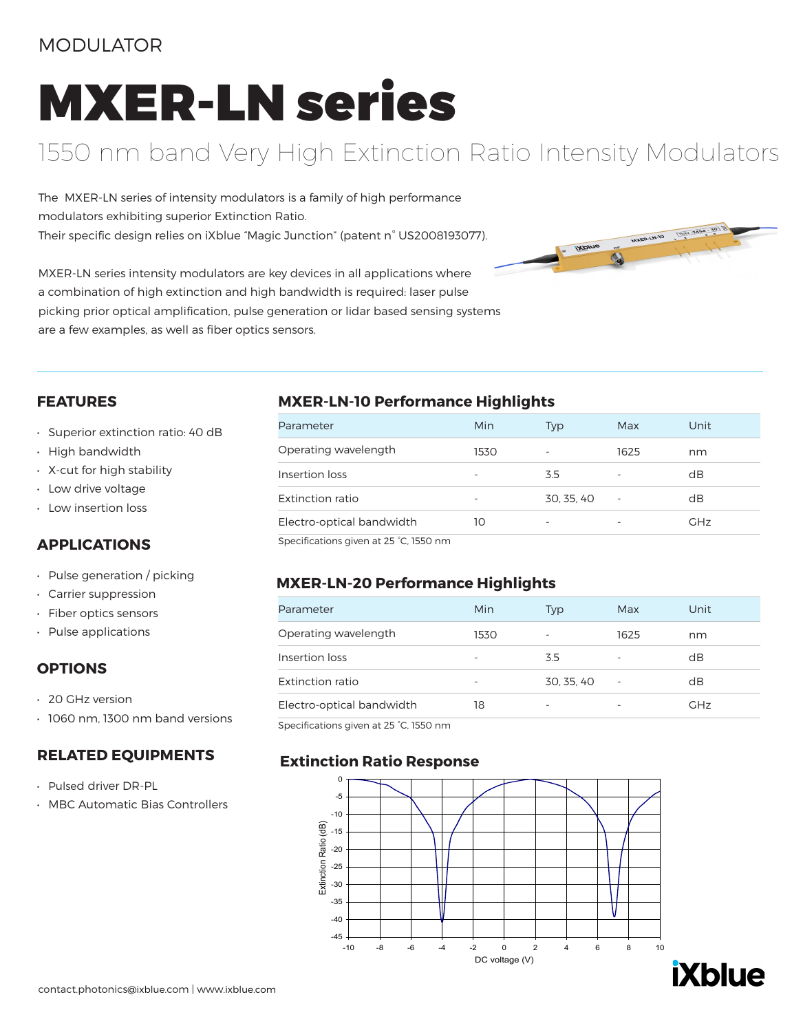### MODULATOR

# MXER-LN series

## 1550 nm band Very High Extinction Ratio Intensity Modulators

The MXER-LN series of intensity modulators is a family of high performance modulators exhibiting superior Extinction Ratio. Their specific design relies on iXblue "Magic Junction" (patent n° US2008193077).

MXER-LN series intensity modulators are key devices in all applications where a combination of high extinction and high bandwidth is required: laser pulse picking prior optical amplification, pulse generation or lidar based sensing systems are a few examples, as well as fiber optics sensors.



#### **FEATURES**

- Superior extinction ratio: 40 dB
- High bandwidth
- X-cut for high stability
- Low drive voltage
- Low insertion loss

#### **APPLICATIONS**

- Pulse generation / picking
- Carrier suppression
- Fiber optics sensors
- Pulse applications

#### **OPTIONS**

- 20 GHz version
- 1060 nm, 1300 nm band versions

#### **RELATED EQUIPMENTS**

- Pulsed driver DR-PL
- MBC Automatic Bias Controllers

#### **MXER-LN-10 Performance Highlights**

| Parameter                             | Min  | Typ        | Max  | Unit       |
|---------------------------------------|------|------------|------|------------|
| Operating wavelength                  | 1530 |            | 1625 | nm         |
| Insertion loss                        |      | 3.5        | -    | dB         |
| Extinction ratio                      |      | 30, 35, 40 |      | dB         |
| Electro-optical bandwidth             | 10   | ۰          |      | <b>GHz</b> |
| Specifications given at 25 °C 1550 nm |      |            |      |            |

cifications given at 25 °C, 1550 nm

#### **MXER-LN-20 Performance Highlights**

| Parameter                 | Min  | Typ        | Max  | Unit       |
|---------------------------|------|------------|------|------------|
| Operating wavelength      | 1530 |            | 1625 | nm         |
| Insertion loss            |      | 3.5        |      | dB         |
| Extinction ratio          |      | 30, 35, 40 | ٠    | dB         |
| Electro-optical bandwidth | 18   |            |      | <b>GHz</b> |

Specifications given at 25 °C, 1550 nm

#### **Extinction Ratio Response**



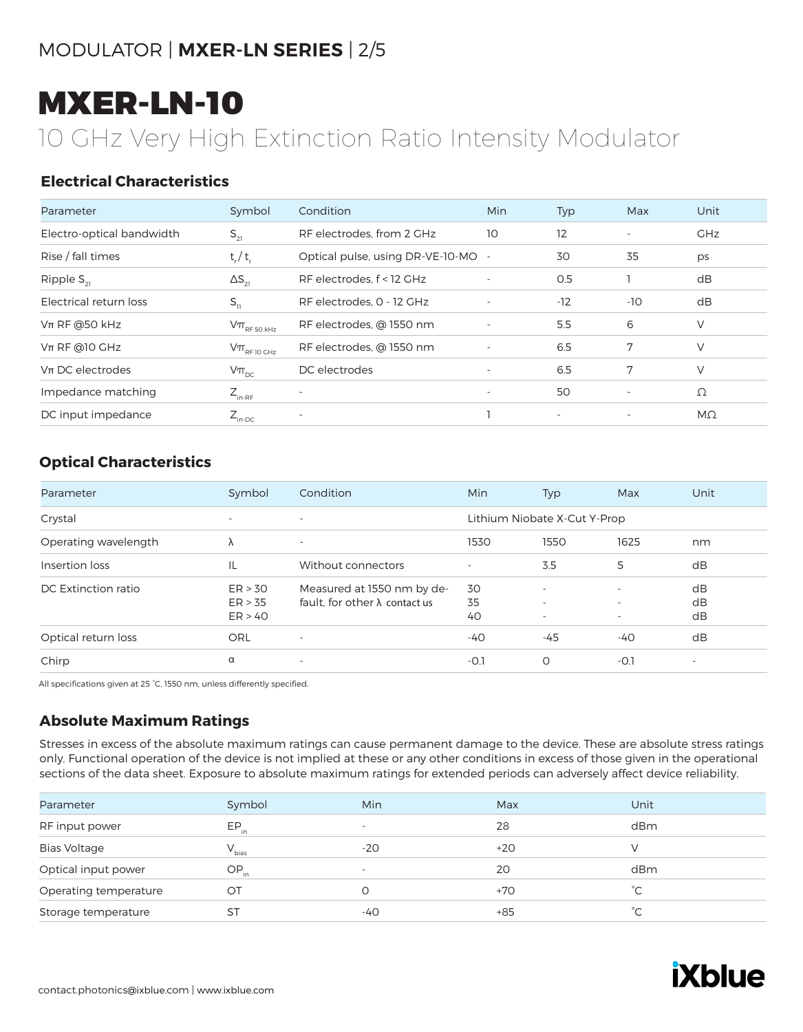## MXER-LN-10

## 10 GHz Very High Extinction Ratio Intensity Modulator

#### **Electrical Characteristics**

| Parameter                 | Symbol                                                                              | Condition                          | Min                      | Typ                      | Max                      | Unit       |
|---------------------------|-------------------------------------------------------------------------------------|------------------------------------|--------------------------|--------------------------|--------------------------|------------|
| Electro-optical bandwidth | $S_{21}$                                                                            | RF electrodes, from 2 GHz          | 10                       | 12                       | $\overline{\phantom{a}}$ | <b>GHz</b> |
| Rise / fall times         | $t_{r} / t_{r}$                                                                     | Optical pulse, using DR-VE-10-MO - |                          | 30                       | 35                       | ps         |
| Ripple $S_{21}$           | $\Delta S_{21}$                                                                     | RF electrodes, f < 12 GHz          |                          | 0.5                      |                          | dB         |
| Electrical return loss    | $S_{11}$                                                                            | RF electrodes, 0 - 12 GHz          | $\overline{\phantom{a}}$ | $-12$                    | $-10$                    | dB         |
| $Vπ$ RF @50 kHz           | $\mathsf{V}\pi_{\scriptscriptstyle\mathrm{RF}\,50\,\scriptscriptstyle\mathrm{kHz}}$ | RF electrodes, @ 1550 nm           |                          | 5.5                      | 6                        | V          |
| $Vπ$ RF @10 GHz           | $V\pi$ <sub>RF 10 GHz</sub>                                                         | RF electrodes, @ 1550 nm           |                          | 6.5                      | 7                        | V          |
| $Vπ$ DC electrodes        | $V\pi_{\text{pc}}$                                                                  | DC electrodes                      | $\overline{\phantom{a}}$ | 6.5                      | 7                        | V          |
| Impedance matching        | $Z_{\text{in-RF}}$                                                                  |                                    | $\overline{\phantom{a}}$ | 50                       | $\overline{\phantom{a}}$ | Ω          |
| DC input impedance        | $Z_{\text{in-DC}}$                                                                  | $\overline{\phantom{a}}$           |                          | $\overline{\phantom{a}}$ | $\overline{\phantom{a}}$ | $M\Omega$  |

#### **Optical Characteristics**

| Parameter            | Symbol                        | Condition                                                           | Min            | Typ                                                  | Max                                                                              | Unit                     |
|----------------------|-------------------------------|---------------------------------------------------------------------|----------------|------------------------------------------------------|----------------------------------------------------------------------------------|--------------------------|
| Crystal              | $\sim$                        | $\sim$                                                              |                | Lithium Niobate X-Cut Y-Prop                         |                                                                                  |                          |
| Operating wavelength | Λ                             | $\overline{\phantom{a}}$                                            | 1530           | 1550                                                 | 1625                                                                             | nm                       |
| Insertion loss       | IL                            | Without connectors                                                  | ٠              | 3.5                                                  | 5                                                                                | dB                       |
| DC Extinction ratio  | ER > 30<br>ER > 35<br>ER > 40 | Measured at 1550 nm by de-<br>fault, for other $\lambda$ contact us | 30<br>35<br>40 | $\overline{\phantom{0}}$<br>$\overline{\phantom{0}}$ | $\overline{\phantom{a}}$<br>$\overline{\phantom{a}}$<br>$\overline{\phantom{a}}$ | dB<br>dB<br>dB           |
| Optical return loss  | ORL                           |                                                                     | $-40$          | -45                                                  | $-40$                                                                            | dB                       |
| Chirp                | α                             | $\overline{\phantom{a}}$                                            | $-0.1$         | 0                                                    | $-0.1$                                                                           | $\overline{\phantom{a}}$ |

All specifications given at 25 °C, 1550 nm, unless differently specified.

#### **Absolute Maximum Ratings**

Stresses in excess of the absolute maximum ratings can cause permanent damage to the device. These are absolute stress ratings only. Functional operation of the device is not implied at these or any other conditions in excess of those given in the operational sections of the data sheet. Exposure to absolute maximum ratings for extended periods can adversely affect device reliability.

| Parameter             | Symbol     | Min                      | Max   | Unit          |
|-----------------------|------------|--------------------------|-------|---------------|
| RF input power        | $EP_{in}$  | $\overline{\phantom{a}}$ | 28    | dBm           |
| <b>Bias Voltage</b>   | $V_{bias}$ | $-20$                    | $+20$ |               |
| Optical input power   | $OP_{in}$  | $\overline{\phantom{a}}$ | 20    | dBm           |
| Operating temperature | OТ         |                          | $+70$ | $^{\circ}C$   |
| Storage temperature   | ST         | -40                      | $+85$ | $^{\circ}$ C. |
|                       |            |                          |       |               |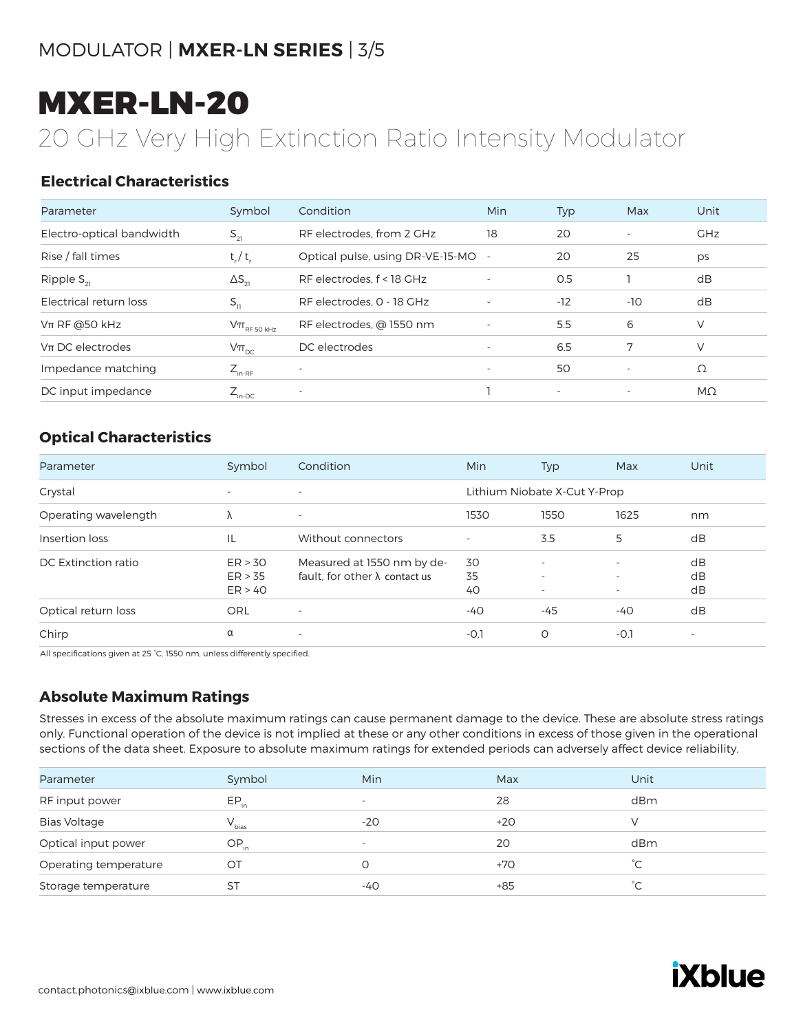## MXER-LN-20

## 20 GHz Very High Extinction Ratio Intensity Modulator

#### **Electrical Characteristics**

| Parameter                 | Symbol                                                                              | Condition                        | Min                      | Typ                      | Max                      | Unit       |
|---------------------------|-------------------------------------------------------------------------------------|----------------------------------|--------------------------|--------------------------|--------------------------|------------|
| Electro-optical bandwidth | $S_{21}$                                                                            | RF electrodes, from 2 GHz        | 18                       | 20                       | $\overline{\phantom{a}}$ | <b>GHz</b> |
| Rise / fall times         | $t_r/t_r$                                                                           | Optical pulse, using DR-VE-15-MO |                          | 20                       | 25                       | ps         |
| Ripple $S_{21}$           | $\Delta S_{21}$                                                                     | RF electrodes, f < 18 GHz        | $\overline{\phantom{a}}$ | 0.5                      |                          | dB         |
| Electrical return loss    | $S_{11}$                                                                            | RF electrodes, 0 - 18 GHz        | $\overline{\phantom{a}}$ | $-12$                    | $-10$                    | dB         |
| $Vπ$ RF @50 kHz           | $\mathsf{V}\pi_{\scriptscriptstyle\mathrm{RF}\,50\,\scriptscriptstyle\mathrm{kHz}}$ | RF electrodes, @ 1550 nm         | $\overline{\phantom{a}}$ | 5.5                      | 6                        | V          |
| $Vπ$ DC electrodes        | $V\pi_{\text{pc}}$                                                                  | DC electrodes                    |                          | 6.5                      | 7                        | V          |
| Impedance matching        | $Z_{_{\text{in-RF}}}$                                                               |                                  | $\overline{\phantom{a}}$ | 50                       | $\overline{\phantom{a}}$ | Ω          |
| DC input impedance        | $Z_{\text{in-DC}}$                                                                  | ٠                                |                          | $\overline{\phantom{a}}$ | $\overline{\phantom{a}}$ | $M\Omega$  |

#### **Optical Characteristics**

| Parameter            | Symbol                        | Condition                                                           | Min            | Typ                                                       | Max                                                                              | Unit                     |
|----------------------|-------------------------------|---------------------------------------------------------------------|----------------|-----------------------------------------------------------|----------------------------------------------------------------------------------|--------------------------|
| Crystal              | $\overline{\phantom{a}}$      | $\overline{\phantom{a}}$                                            |                | Lithium Niobate X-Cut Y-Prop                              |                                                                                  |                          |
| Operating wavelength | Λ                             | $\overline{\phantom{a}}$                                            | 1530           | 1550                                                      | 1625                                                                             | nm                       |
| Insertion loss       | IL                            | Without connectors                                                  |                | 3.5                                                       | 5                                                                                | dB                       |
| DC Extinction ratio  | ER > 30<br>ER > 35<br>ER > 40 | Measured at 1550 nm by de-<br>fault, for other $\lambda$ contact us | 30<br>35<br>40 | $\overline{\phantom{a}}$<br>۰<br>$\overline{\phantom{0}}$ | $\overline{\phantom{a}}$<br>$\overline{\phantom{a}}$<br>$\overline{\phantom{a}}$ | dB<br>dB<br>dB           |
| Optical return loss  | ORL                           | $\overline{\phantom{a}}$                                            | $-40$          | $-45$                                                     | $-40$                                                                            | dB                       |
| Chirp                | α                             | $\overline{\phantom{a}}$                                            | $-0.1$         | $\circ$                                                   | $-0.1$                                                                           | $\overline{\phantom{m}}$ |

All specifications given at 25 °C, 1550 nm, unless differently specified.

#### **Absolute Maximum Ratings**

Stresses in excess of the absolute maximum ratings can cause permanent damage to the device. These are absolute stress ratings only. Functional operation of the device is not implied at these or any other conditions in excess of those given in the operational sections of the data sheet. Exposure to absolute maximum ratings for extended periods can adversely affect device reliability.

| Parameter             | Symbol     | Min                      | Max   | Unit          |
|-----------------------|------------|--------------------------|-------|---------------|
| RF input power        | $EP_{in}$  | $\overline{\phantom{a}}$ | 28    | dBm           |
| <b>Bias Voltage</b>   | $V_{bias}$ | $-20$                    | $+20$ |               |
| Optical input power   | $OP_{in}$  | $\overline{\phantom{a}}$ | 20    | dBm           |
| Operating temperature | OT         |                          | $+70$ | $^{\circ}$ C. |
| Storage temperature   | ST         | -40                      | $+85$ | $^{\circ}$ C  |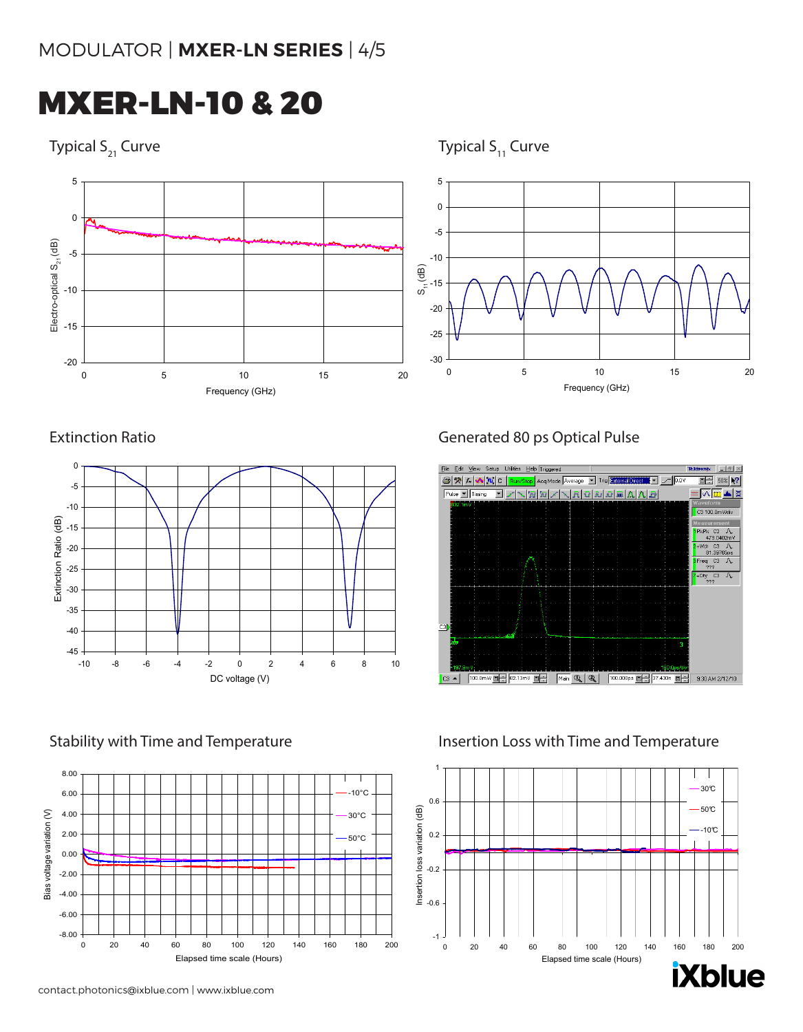MXER-LN-10 & 20

Typical  $S_{21}$  Curve  $S_{11}$  Curve  $S_{21}$  Curve





Extinction Ratio **Extinction Ratio Generated 80 ps Optical Pulse** 





Stability with Time and Temperature **Insertion Loss with Time and Temperature**